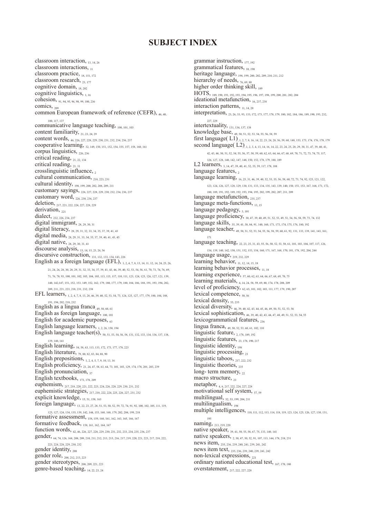### **SUBJECT INDEX**

classroom interaction, 13, 14, 26 classroom interactions, classroom practice, 18, 151, 172 classroom research, 23, 177 cognitive domain,  $_{18, 202}$ cognitive linguistics,  $_{1, 16}$ cohesion, 91, 94, 95, 96, 98, 99, 100, 236 comics, <sub>209</sub> common European framework of reference (CEFR), 46, 40, 100, 117, 137 communicative language teaching, 100, 101, 103 content familiarity, 21, 23, 24, 29 content words, 46, 226, 227, 228, 229, 230, 231, 232, 234, 236, 237 cooperative learning, 32, 149, 150, 151, 152, 154, 155, 157, 158, 160, 161 corpus linguistics, 226, 236 critical reading,  $_{21, 22, 134}$ critical reading, 21, 31 crosslinguistic influence, <sup>2</sup> cultural communication,  $_{218, 223, 231}$ cultural identity, 198, 199, 200, 202, 208, 209, 211 customary sayings, 226, 227, 228, 229, 230, 232, 234, 236, 237 customary word, 226, 230, 236, 237 deletion, 217, 221, 222, 224, 227, 228, 229 derivation, <sub>221</sub> dialect, 232, 226, 234, 237 digital immigrant, 28, 29, 30, 31 digital literacy, 28, 29, 31, 32, 33, 34, 35, 37, 39, 41, 43 digital media, 28, 29, 31, 33, 34, 35, 37, 39, 40, 41, 43, 45 digital native,  $_{28, 29, 30, 31, 41}$ discourse analysis, 13, 14, 15, 23, 26, 56 discursive construction, 131, 132, 133, 134, 143, 226 English as a foreign language (EFL), 1, 2, 4, 7, 8, 13, 14, 11, 12, 14, 24, 25, 26, 21, 24, 26, 28, 30, 28, 29, 31, 32, 33, 34, 37, 39, 41, 43, 46, 39, 40, 52, 53, 54, 56, 61, 70, 73, 74, 76, 69, 71, 76, 78, 93, 100, 101, 102, 103, 104, 105, 113, 115, 117, 110, 111, 123, 124, 125, 126, 127, 121, 139, 140, 142,147, 151, 152, 153, 149, 152, 162, 179, 180, 177, 179, 180, 184, 186, 188, 191, 193, 194, 202, 209, 211, 221, 223, 218, 231, 232, 238 EFL learners, 1, 2, 4, 7, 8, 13, 28, 46, 39, 40, 52, 53, 54, 73, 124, 125, 127, 177, 179, 180, 184, 188, 191, 194, 202, 218, 232 English as a lingua franca, 49, 50, 60, 61 English as foreign language, 100, 101 English for academic purposes,  $63$ English language learners,  $_{1, 2, 26, 150, 194}$ English language teacher(s), 50, 51, 53, 54, 56, 58, 131, 132, 133, 134, 136, 137, 138, 139, 140, 141 English learning, 54, 58, 63, 113, 133, 172, 173, 177, 178, 223 English literature,  $_{79, 80, 82, 83, 84, 88, 90}$ English prepositions,  $_{1, 2, 4, 5, 7, 9, 10, 13, 16}$ English proficiency, 21, 24, 47, 58, 63, 64, 73, 101, 103, 129, 174, 178, 201, 203, 239 English pronunciation,  $57$ English textbooks, 173, 178, 209 euphemism, 217, 218, 220, 221, 222, 223, 224, 226, 228, 229, 230, 231, 232 euphemistic strategies, 217, 218, 222, 224, 225, 226, 227, 231, 232 explicit knowledge, 15, 51, 158, 163 foreign language, 13, 22, 23, 27, 28, 51, 53, 50, 52, 59, 72, 74, 91, 92, 100, 102, 105, 111, 119, 125, 127, 124, 134, 135, 139, 142, 144, 153, 160, 168, 179, 202, 204, 199, 218 formative assessment, 158, 159, 160, 161, 162, 163, 165, 166, 167 formative feedback, 158, 161, 162, 164, 167 function words, 42, 46, 226, 227, 228, 229, 230, 231, 232, 233, 234, 235, 236, 237 gender, 64, 74, 126, 168, 208, 209, 210, 211, 212, 213, 215, 216, 217, 219, 220, 221, 223, 217, 218, 222, 223, 224, 228, 229, 230, 232 gender identity, <sub>208</sub> gender role, 208, 212, 213, 223 gender stereotypes, 208, 209, 221, 223 genre-based teaching, 14, 22, 23, 24

grammar instruction, 177, 192 grammatical features,  $\frac{1}{10, 190}$ heritage language, 198, 199, 200, 202, 209, 210, 211, 212 hierarchy of needs,  $_{76,69,80}$ higher order thinking skill, 189 HOTS, 189, 190, 191, 192, 193, 194, 195, 196, 197, 198, 199, 200, 201, 202, 204 ideational metafunction, 16, 237, 238 interaction patterns, 11, 14, 20 interpretation, 23, 26, 33, 93, 133, 172, 173, 177, 178, 179, 180, 182, 184, 186, 189, 190, 193, 232, <sup>227, 229</sup><br>intertextuality, <sub>131, 134, 137, 138</sub> knowledge base, 49, 50, 51, 52, 53, 54, 55, 56, 58, 59 first language(  $L1$ )<sub>, 1, 2, 7, 8, 16, 14, 22, 23, 24, 28, 56, 59, 60, 148, 153, 173, 174, 176, 178, 179</sub> second language( L2)<sub>, 1, 2, 3, 4, 13, 14, 16, 14, 22, 23, 24, 25, 28, 29, 30, 31, 47, 39, 40, 41</sub> 42, 43, 46, 50, 51, 52, 54, 55, 56, 57, 58, 59, 60, 62, 63, 64, 66, 67, 68, 69, 70, 71, 72, 73, 74, 75, 117, 126, 127, 128, 140, 142, 147, 148, 150, 152, 178, 179, 188, 189 L2 learners, 3, 14, 47, 39, 40, 41, 52, 55, 59, 117, 178, 188 language features, 2 language learning, 16, 25, 31, 46, 39, 40, 52, 53, 55, 56, 58, 60, 72, 73, 74, 92, 125, 121, 122, 123, 124, 126, 127, 128, 129, 130, 131, 133, 134, 135, 143, 139, 140, 150, 151, 153, 167, 168, 171, 172, 180, 189, 191, 192, 189, 192, 193, 194, 195, 202, 199, 202, 207, 211, 209 language metafunction, 235, 237 language meta-functions, 13, 15 language pedagogy, 3, 101 language proficiency, 30, 47, 39, 40, 49, 51, 52, 53, 49, 51, 54, 56, 58, 59, 73, 74, 132 language skills, 35, 39, 41, 58, 84, 91, 140, 160, 171, 173, 174, 175, 176, 180, 192 language teacher, 49, 50, 51, 52, 53, 54, 55, 56, 58, 59, 60, 61, 92, 131, 133, 139, 141, 143, 161, 171<br>**language teaching**, <sub>22, 23, 25, 31, 43, 55, 56, 50, 52, 53, 58, 61, 101, 103, 104, 107, 117, 126,</sub> 134, 139, 140, 142, 150, 151, 152, 153, 154, 160, 171, 167, 168, 170, 181, 178, 192, 204, 244 language usage,  $_{219, 232, 229}$ learning behavior,  $_{11, 12, 14, 15, 18}$ learning behavior processes, 11, 18 learning experience, 57, 60, 62, 63, 64, 66, 67, 68, 69, 70, 75 learning materials, 4, 14, 24, 58, 59, 69, 80, 174, 178, 208, 209 level of proficiency, 62, 65, 101, 102, 103, 111, 177, 179, 190, 207 lexical competence, 50, 56 lexical density,  $_{55, 235}$ lexical diversity, 46, 39, 40, 42, 43, 44, 45, 46, 49, 50, 51, 52, 53, 56 lexical sophistication, 46, 39, 40, 42, 43, 44, 47, 48, 49, 51, 52, 53, 54, 55 lexicogrammatical features, 236 lingua franca, <sub>49, 50, 52, 53, 60, 61, 102, 110</sub> linguistic feature,  $2, 178, 189, 192$ linguistic features, 23, 178, 190, 217 linguistic identity, 198 linguistic processing,  $_{23}$ linguistic taboos, 217, 222, 232 linguistic theories,  $_{235}$ long- term memory,  $\overline{22}$ macro structure,  $\alpha$ metaphor, 4, 6, 217, 222, 224, 227, 228 motivational self system,  $_{57, 59}$ multilingual, 52, 53, 199, 204, 211 multilingualism, <sup>198</sup> multiple intelligences, 110, 111, 112, 113, 114, 118, 119, 123, 124, 125, 126, 127, 130, 131,  $105$ naming, 213, 219, 220 native speaker, 39, 41, 50, 55, 58, 67, 75, 133, 140, 141 native speakers, 2, 30, 47, 50, 52, 91, 107, 113, 144, 178, 218, 231 news item, 235, 236, 239, 240, 241, 239, 241, 242 news item text, 235, 236, 239, 240, 239, 241, 242 non-lexical expressions, <sup>221</sup> ordinary national educational test, 167, 170, 180 overstatement, 217, 222, 227, 228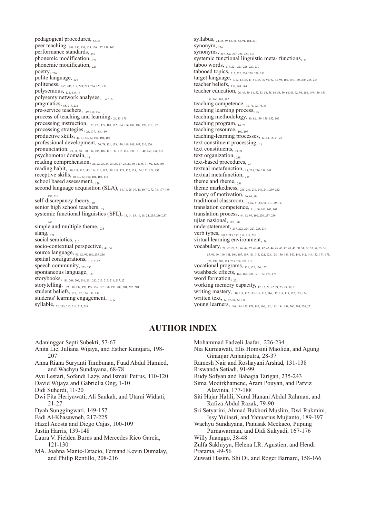pedagogical procedures, 53, 56 peer teaching, 149, 150, 154, 155, 156, 157, 158, 160 performance standards,  $_{159}$ phonemic modification,  $_{221}$ phonemic modification,  $_{221}$ poetry,  $_{226}$ polite language,  $_{229}$ politeness, 169, 206, 219, 220, 223, 224, 227, 232 polysemous, 1, 2, 4, 6, 14 polysemy network analyses,  $_{1,4,5,6}$ pragmatics,  $_{55, 217, 232}$ pre-service teachers, 149, 150, 152 process of teaching and learning,  $_{24, 33, 170}$ processing instruction, 177, 178, 179, 180, 182, 184, 186, 188, 189, 190, 191, 192 processing strategies, 28, 177, 188, 189 productive skills, 40, 41, 50, 52, 100, 104, 105 professional development,  $76, 78, 131, 133, 139, 140, 141, 143, 210, 226$ pronunciation, <sub>20, 56</sub>, 58, 100, 104, 105, 109, 111, 112, 113, 115, 130, 131, 140, 169, 234, 237 psychomotor domain, <sup>18</sup> reading comprehension, 21, 22, 23, 24, 25, 26, 27, 28, 29, 30, 31, 56, 91, 92, 125, 180 reading habit, 110, 111, 112, 113, 114, 116, 117, 118, 119, 121, 122, 123, 124, 125, 126, 197 receptive skills, 40, 50, 52, 100, 104, 105, 179 school based assessment, <sub>159</sub> second language acquisition (SLA), 14, 16, 25, 39, 40, 50, 70, 72, 73, 177, 189, 192, 210 self-discrepancy theory,  $_{60}$ senior high school teachers,  $_{28}$ systemic functional linguistics (SFL), 13, 14, 15, 16, 18, 24, 235, 236, 237, simple and multiple theme,  $_{235}$ slang, 221 social semiotics, 210 socio-contextual perspective, <sub>49, 54</sub> source language,  $_{91, 92, 93, 101, 235, 236}$ spatial configurations,  $_{1, 2, 9, 12}$ speech community,  $_{223, 232}$ spontaneous language, 123 storybooks, 111, 208, 209, 210, 211, 212, 213, 215, 216, 217, 221 storytelling, 189, 190, 192, 193, 195, 196, 197, 198, 199, 200, 201, 202, 210 student beliefs, 121, 122, 124, 133, 134 students' learning engagement, 11, 12 syllable, 22, 213, 215, 216, 217, 219

syllabus, 24, 58, 59, 65, 80, 82, 91, 104, 231 synonym, <sub>226</sub> synonyms, 217, 226, 227, 228, 229, 230 systemic functional linguistic meta- functions, 15 taboo words, 217, 221, 223, 228, 229, 230 tabooed topics, 217, 222, 224, 228, 229, 230 target language,  $_{7, 12, 13, 46, 41, 51, 58, 76, 91, 92, 93, 95, 100, 101, 140, 200, 235, 236}$ teacher beliefs, 139, 140, 144 teacher education, 26, 49, 50, 51, 52, 53, 54, 55, 56, 58, 59, 60, 61, 92, 94, 150, 149, 150, 151, 152, 160, 161, 162 teaching competence,  $76, 71, 72, 75, 81$ teaching learning process,  $_{29}$ teaching methodology, 30, 82, 139, 150, 152, 169 teaching program,  $_{14, 23}$ teaching resource, 100, 107 teaching-learning processes, 12, 14, 15, 21, 23 text constituent processing,  $_{11}$ text constituents,  $_{18, 21}$ text organization, 238 text-based procedures,  $_{23}$ textual metafunction, 18, 235, 236, 238, 241 textual metafunction, 238 theme and rheme,  $_{238}$ theme markedness, 235, 236, 239, 240, 241, 239, 242 theory of motivation,  $_{76,69,80}$ traditional classroom,  $_{79, 82, 87, 89, 90, 91, 130, 167}$ translation competence, 91, 100, 101, 102, 103 translation process, 64, 92, 99, 100, 236, 237, 239 ujian nasional, 167, 170 understatement, 217, 222, 224, 227, 228, 230 verb types, 208, 213, 215, 216, 217, 220 virtual learning environment,  $\frac{1}{2}$ vocabulary, 21, 22, 28, 31, 46, 47, 39, 40, 41, 42, 43, 44, 45, 46, 47, 48, 49, 50, 51, 52, 53, 54, 55, 56, 55, 91, 99, 100, 101, 104, 107, 109, 111, 115, 121, 123, 128, 130, 131, 140, 141, 142, 148, 152, 174, 175, 176, 192, 200, 199, 203, 206, 209, 210 vocational programs, 121, 122, 126, 127 washback effects, 167, 168, 170, 171, 172, 173, 178 word formation, <sub>221</sub> working memory capacity, 12, 13, 21, 22, 24, 25, 29, 30, 31 writing mastery, 110, 111, 112, 113, 114, 115, 116, 117, 118, 119, 122, 123, 124 written text,  $42, 47, 51, 52, 111$ young learners, 140, 144, 153, 179, 189, 190, 192, 193, 194, 199, 200, 204, 220, 221

## **AUTHOR INDEX**

Adaninggar Septi Subekti, 57-67 Anita Lie, Juliana Wijaya, and Esther Kuntjara, 198- 207 Anna Riana Suryanti Tambunan, Fuad Abdul Hamied, and Wachyu Sundayana, 68-78 Ayu Lestari, Sofendi Lazy, and Ismail Petrus, 110-120 David Wijaya and Gabriella Ong, 1-10 Didi Suherdi, 11-20 Dwi Fita Heriyawati, Ali Saukah, and Utami Widiati, 21-27 Dyah Sunggingwati, 149-157 Fadi Al-Khasawneh, 217-225 Hazel Acosta and Diego Cajas, 100-109 Justin Harris, 139-148 Laura V. Fielden Burns and Mercedes Rico García, 121-130

MA. Joahna Mante-Estacio, Fernand Kevin Dumalay, and Philip Rentillo, 208-216

Mohammad Fadzeli Jaafar, 226-234 Nia Kurniawati, Elis Homsini Maolida, and Agung Ginanjar Anjaniputra, 28-37 Ramesh Nair and Roshayani Arshad, 131-138 Riswanda Setiadi, 91-99 Rudy Sofyan and Bahagia Tarigan, 235-243 Sima Modirkhamene, Aram Pouyan, and Parviz Alavinia, 177-188 Siti Hajar Halili, Nurul Hanani Abdul Rahman, and Rafiza Abdul Razak, 79-90 Sri Setyarini, Ahmad Bukhori Muslim, Dwi Rukmini, Issy Yuliasri, and Yanuarius Mujianto, 189-197 Wachyu Sundayana, Panusak Meekaeo, Pupung Purnawarman, and Didi Sukyadi, 167-176 Willy Juanggo, 38-48 Zulfa Sakhiyya, Helena I.R. Agustien, and Hendi Pratama, 49-56 Zuwati Hasim, Shi Di, and Roger Barnard, 158-166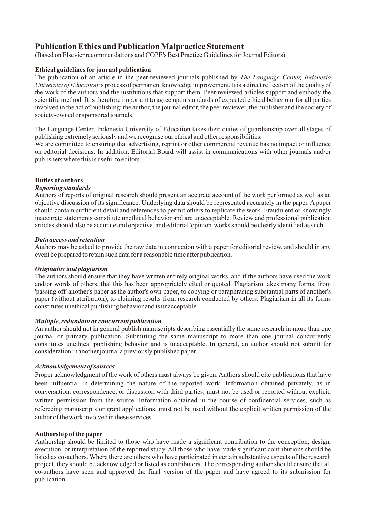# **Publication Ethics and Publication Malpractice Statement**

(Based on Elsevier recommendations and COPE's Best Practice Guidelines for Journal Editors)

### **Ethical guidelines for journal publication**

The publication of an article in the peer-reviewed journals published by *The Language Center, Indonesia University of Education* is process of permanent knowledge improvement. It is a direct reflection of the quality of the work of the authors and the institutions that support them. Peer-reviewed articles support and embody the scientific method. It is therefore important to agree upon standards of expected ethical behaviour for all parties involved in the act of publishing: the author, the journal editor, the peer reviewer, the publisher and the society of society-owned or sponsored journals.

The Language Center, Indonesia University of Education takes their duties of guardianship over all stages of publishing extremely seriously and we recognise our ethical and other responsibilities.

We are committed to ensuring that advertising, reprint or other commercial revenue has no impact or influence on editorial decisions. In addition, Editorial Board will assist in communications with other journals and/or publishers where this is useful to editors.

#### **Duties of authors**

#### *Reporting standards*

Authors of reports of original research should present an accurate account of the work performed as well as an objective discussion of its significance. Underlying data should be represented accurately in the paper. A paper should contain sufficient detail and references to permit others to replicate the work. Fraudulent or knowingly inaccurate statements constitute unethical behavior and are unacceptable. Review and professional publication articles should also be accurate and objective, and editorial 'opinion' works should be clearly identified as such.

#### *Data access and retention*

Authors may be asked to provide the raw data in connection with a paper for editorial review, and should in any event be prepared to retain such data for a reasonable time after publication.

#### *Originality and plagiarism*

The authors should ensure that they have written entirely original works, and if the authors have used the work and/or words of others, that this has been appropriately cited or quoted. Plagiarism takes many forms, from 'passing off' another's paper as the author's own paper, to copying or paraphrasing substantial parts of another's paper (without attribution), to claiming results from research conducted by others. Plagiarism in all its forms constitutes unethical publishing behavior and is unacceptable.

#### *Multiple, redundant or concurrent publication*

An author should not in general publish manuscripts describing essentially the same research in more than one journal or primary publication. Submitting the same manuscript to more than one journal concurrently constitutes unethical publishing behavior and is unacceptable. In general, an author should not submit for consideration in another journal a previously published paper.

#### *Acknowledgement of sources*

Proper acknowledgment of the work of others must always be given. Authors should cite publications that have been influential in determining the nature of the reported work. Information obtained privately, as in conversation, correspondence, or discussion with third parties, must not be used or reported without explicit, written permission from the source. Information obtained in the course of confidential services, such as refereeing manuscripts or grant applications, must not be used without the explicit written permission of the author of the work involved in these services.

#### **Authorship of the paper**

Authorship should be limited to those who have made a significant contribution to the conception, design, execution, or interpretation of the reported study. All those who have made significant contributions should be listed as co-authors. Where there are others who have participated in certain substantive aspects of the research project, they should be acknowledged or listed as contributors. The corresponding author should ensure that all co-authors have seen and approved the final version of the paper and have agreed to its submission for publication.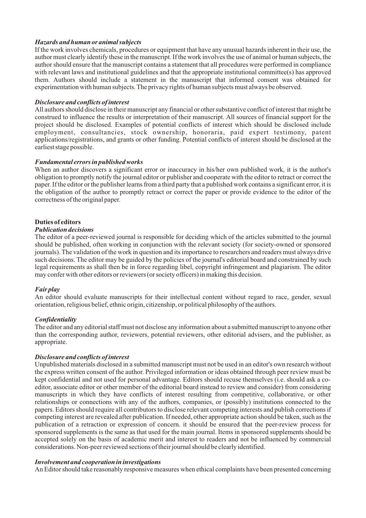#### *Hazards and human or animal subjects*

If the work involves chemicals, procedures or equipment that have any unusual hazards inherent in their use, the author must clearly identify these in the manuscript. If the work involves the use of animal or human subjects, the author should ensure that the manuscript contains a statement that all procedures were performed in compliance with relevant laws and institutional guidelines and that the appropriate institutional committee(s) has approved them. Authors should include a statement in the manuscript that informed consent was obtained for experimentation with human subjects. The privacy rights of human subjects must always be observed.

#### *Disclosure and conflicts of interest*

All authors should disclose in their manuscript any financial or other substantive conflict of interest that might be construed to influence the results or interpretation of their manuscript. All sources of financial support for the project should be disclosed. Examples of potential conflicts of interest which should be disclosed include employment, consultancies, stock ownership, honoraria, paid expert testimony, patent applications/registrations, and grants or other funding. Potential conflicts of interest should be disclosed at the earliest stage possible.

#### *Fundamental errors in published works*

When an author discovers a significant error or inaccuracy in his/her own published work, it is the author's obligation to promptly notify the journal editor or publisher and cooperate with the editor to retract or correct the paper. If the editor or the publisher learns from a third party that a published work contains a significant error, it is the obligation of the author to promptly retract or correct the paper or provide evidence to the editor of the correctness of the original paper.

#### **Duties of editors**

#### *Publication decisions*

The editor of a peer-reviewed journal is responsible for deciding which of the articles submitted to the journal should be published, often working in conjunction with the relevant society (for society-owned or sponsored journals). The validation of the work in question and its importance to researchers and readers must always drive such decisions. The editor may be guided by the policies of the journal's editorial board and constrained by such legal requirements as shall then be in force regarding libel, copyright infringement and plagiarism. The editor may confer with other editors or reviewers (or society officers) in making this decision.

#### *Fair play*

An editor should evaluate manuscripts for their intellectual content without regard to race, gender, sexual orientation, religious belief, ethnic origin, citizenship, or political philosophy of the authors.

#### *Confidentiality*

The editor and any editorial staff must not disclose any information about a submitted manuscript to anyone other than the corresponding author, reviewers, potential reviewers, other editorial advisers, and the publisher, as appropriate.

#### *Disclosure and conflicts of interest*

Unpublished materials disclosed in a submitted manuscript must not be used in an editor's own research without the express written consent of the author. Privileged information or ideas obtained through peer review must be kept confidential and not used for personal advantage. Editors should recuse themselves (i.e. should ask a coeditor, associate editor or other member of the editorial board instead to review and consider) from considering manuscripts in which they have conflicts of interest resulting from competitive, collaborative, or other relationships or connections with any of the authors, companies, or (possibly) institutions connected to the papers. Editors should require all contributors to disclose relevant competing interests and publish corrections if competing interest are revealed after publication. If needed, other appropriate action should be taken, such as the publication of a retraction or expression of concern. it should be ensured that the peer-review process for sponsored supplements is the same as that used for the main journal. Items in sponsored supplements should be accepted solely on the basis of academic merit and interest to readers and not be influenced by commercial considerations. Non-peer reviewed sections of their journal should be clearly identified.

#### *Involvement and cooperation in investigations*

An Editor should take reasonably responsive measures when ethical complaints have been presented concerning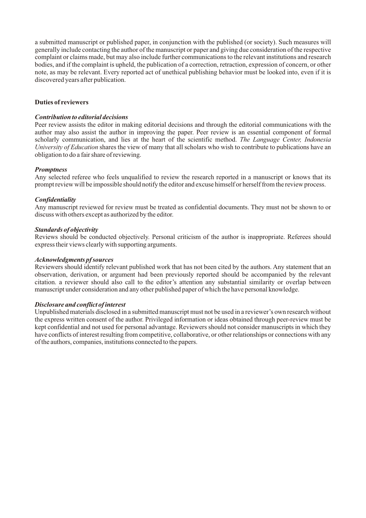a submitted manuscript or published paper, in conjunction with the published (or society). Such measures will generally include contacting the author of the manuscript or paper and giving due consideration of the respective complaint or claims made, but may also include further communications to the relevant institutions and research bodies, and if the complaint is upheld, the publication of a correction, retraction, expression of concern, or other note, as may be relevant. Every reported act of unethical publishing behavior must be looked into, even if it is discovered years after publication.

#### **Duties of reviewers**

#### *Contribution to editorial decisions*

Peer review assists the editor in making editorial decisions and through the editorial communications with the author may also assist the author in improving the paper. Peer review is an essential component of formal scholarly communication, and lies at the heart of the scientific method. *The Language Center, Indonesia University of Education* shares the view of many that all scholars who wish to contribute to publications have an obligation to do a fair share of reviewing.

#### *Promptness*

Any selected referee who feels unqualified to review the research reported in a manuscript or knows that its prompt review will be impossible should notify the editor and excuse himself or herself from the review process.

#### *Confidentiality*

Any manuscript reviewed for review must be treated as confidential documents. They must not be shown to or discuss with others except as authorized by the editor.

#### *Standards of objectivity*

Reviews should be conducted objectively. Personal criticism of the author is inappropriate. Referees should express their views clearly with supporting arguments.

#### *Acknowledgments pf sources*

Reviewers should identify relevant published work that has not been cited by the authors. Any statement that an observation, derivation, or argument had been previously reported should be accompanied by the relevant citation. a reviewer should also call to the editor's attention any substantial similarity or overlap between manuscript under consideration and any other published paper of which the have personal knowledge.

#### *Disclosure and conflict of interest*

Unpublished materials disclosed in a submitted manuscript must not be used in a reviewer's own research without the express written consent of the author. Privileged information or ideas obtained through peer-review must be kept confidential and not used for personal advantage. Reviewers should not consider manuscripts in which they have conflicts of interest resulting from competitive, collaborative, or other relationships or connections with any of the authors, companies, institutions connected to the papers.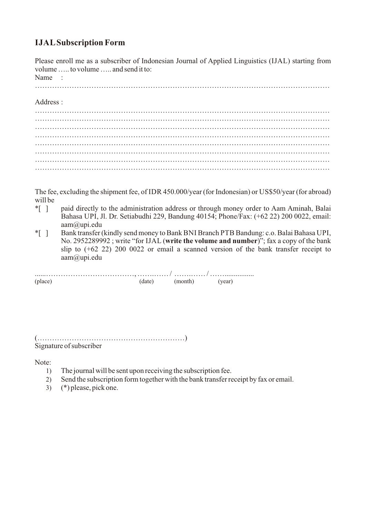# **IJALSubscription Form**

Please enroll me as a subscriber of Indonesian Journal of Applied Linguistics (IJAL) starting from volume ….. to volume ….. and send it to:

Name :

. The contract of the contract of the contract of the contract of the contract of the contract of the contract of the contract of the contract of the contract of the contract of the contract of the contract of the contrac

Address :

………………………………………………………………………………………………………… ………………………………………………………………………………………………………… ………………………………………………………………………………………………………… ………………………………………………………………………………………………………… ………………………………………………………………………………………………………… ………………………………………………………………………………………………………… . The contract of the contract of the contract of the contract of the contract of the contract of the contract of the contract of the contract of the contract of the contract of the contract of the contract of the contrac

The fee, excluding the shipment fee, of IDR 450.000/year (for Indonesian) or US\$50/year (for abroad) will be

- \*[ ] paid directly to the administration address or through money order to Aam Aminah, Balai Bahasa UPI, Jl. Dr. Setiabudhi 229, Bandung 40154; Phone/Fax: (+62 22) 200 0022, email: aam@upi.edu
- \*[ ] Bank transfer (kindly send money to Bank BNI Branch PTB Bandung: c.o. Balai Bahasa UPI, No. 2952289992 ; write "for IJAL (**write the volume and number**)"; fax a copy of the bank slip to (+62 22) 200 0022 or email a scanned version of the bank transfer receipt to aam@upi.edu

......………………………………, …….…… / …….…… / ……................ (place) (date) (month) (year)

(……………………………………………………) Signature of subscriber

Note:

- 1) The journal will be sent upon receiving the subscription fee.
- 2) Send the subscription form together with the bank transfer receipt by fax or email.
- 3) (\*) please, pick one.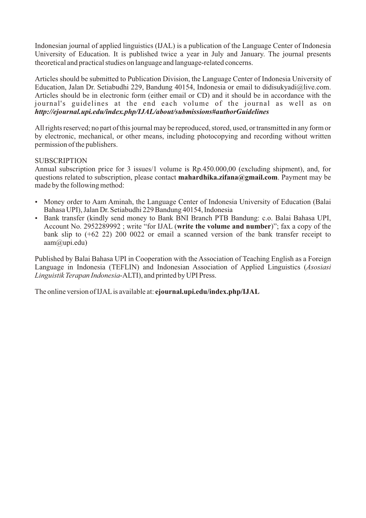Indonesian journal of applied linguistics (IJAL) is a publication of the Language Center of Indonesia University of Education. It is published twice a year in July and January. The journal presents theoretical and practical studies on language and language-related concerns.

Articles should be submitted to Publication Division, the Language Center of Indonesia University of Education, Jalan Dr. Setiabudhi 229, Bandung 40154, Indonesia or email to didisukyadi@live.com. Articles should be in electronic form (either email or CD) and it should be in accordance with the journal's guidelines at the end each volume of the journal as well as on *http://ejournal.upi.edu/index.php/IJAL/about/submissions#authorGuidelines* 

All rights reserved; no part of this journal may be reproduced, stored, used, or transmitted in any form or by electronic, mechanical, or other means, including photocopying and recording without written permission of the publishers.

## **SUBSCRIPTION**

Annual subscription price for 3 issues/1 volume is Rp.450.000,00 (excluding shipment), and, for questions related to subscription, please contact **mahardhika.zifana@gmail.com**. Payment may be made by the following method:

- Money order to Aam Aminah, the Language Center of Indonesia University of Education (Balai Bahasa UPI), Jalan Dr. Setiabudhi 229 Bandung 40154, Indonesia
- Bank transfer (kindly send money to Bank BNI Branch PTB Bandung: c.o. Balai Bahasa UPI, Account No. 2952289992 ; write "for IJAL (**write the volume and number**)"; fax a copy of the bank slip to (+62 22) 200 0022 or email a scanned version of the bank transfer receipt to aam@upi.edu)

Published by Balai Bahasa UPI in Cooperation with the Association of Teaching English as a Foreign Language in Indonesia (TEFLIN) and Indonesian Association of Applied Linguistics (*Asosiasi Linguistik Terapan Indonesia*-ALTI), and printed by UPI Press.

The online version of IJALis available at: **ejournal.upi.edu/index.php/IJAL**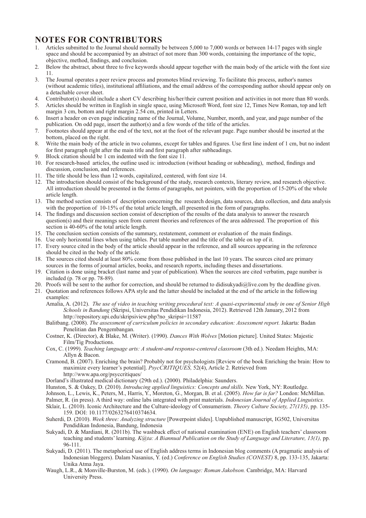# **NOTES FOR CONTRIBUTORS**

- 1. Articles submitted to the Journal should normally be between 5,000 to 7,000 words or between 14-17 pages with single space and should be accompanied by an abstract of not more than 300 words, containing the importance of the topic, objective, method, findings, and conclusion.
- 2. Below the abstract, about three to five keywords should appear together with the main body of the article with the font size 11.
- 3. The Journal operates a peer review process and promotes blind reviewing. To facilitate this process, author's names (without academic titles), institutional affiliations, and the email address of the corresponding author should appear only on a detachable cover sheet.
- 4. Contributor(s) should include a short CV describing his/her/their current position and activities in not more than 80 words.
- 5. Articles should be written in English in single space, using Microsoft Word, font size 12, Times New Roman, top and left margin 3 cm, bottom and right margin 2.54 cm, printed in Letters.
- 6. Insert a header on even page indicating name of the Journal, Volume, Number, month, and year, and page number of the publication. On odd page, insert the author(s) and a few words of the title of the articles.
- 7. Footnotes should appear at the end of the text, not at the foot of the relevant page. Page number should be inserted at the bottom, placed on the right.
- 8. Write the main body of the article in two columns, except for tables and figures. Use first line indent of 1 cm, but no indent for first paragraph right after the main title and first paragraph after subheadings.
- 9. Block citation should be 1 cm indented with the font size 11.
- 10. For research-based articles, the outline used is: introduction (without heading or subheading), method, findings and discussion, conclusion, and references.
- 11. The title should be less than 12 words, capitalized, centered, with font size 14.
- 12. The introduction should consist of the background of the study, research contexts, literary review, and research objective. All introduction should be presented in the forms of paragraphs, not pointers, with the proportion of 15-20% of the whole article length.
- 13. The method section consists of description concerning the research design, data sources, data collection, and data analysis with the proportion of 10-15% of the total article length, all presented in the form of paragraphs.
- 14. The findings and discussion section consist of description of the results of the data analysis to answer the research  $question(s)$  and their meanings seen from current theories and references of the area addressed. The proportion of this section is 40-60% of the total article length.
- 15. The conclusion section consists of the summary, restatement, comment or evaluation of the main findings.
- 16. Use only horizontal lines when using tables. Put table number and the title of the table on top of it.
- 17. Every source cited in the body of the article should appear in the reference, and all sources appearing in the reference should be cited in the body of the article.
- 18. The sources cited should at least 80% come from those published in the last 10 years. The sources cited are primary sources in the forms of journal articles, books, and research reports, including theses and dissertations.
- 19. Citation is done using bracket (last name and year of publication). When the sources are cited verbatim, page number is included (p. 78 or pp. 78-89).
- 20. Proofs will be sent to the author for correction, and should be returned to didisukyadi@live.com by the deadline given.
- 21. Quotation and references follows APA style and the latter should be included at the end of the article in the following examples:
	- Amalia, A. (2012). *The use of video in teaching writing procedural text: A quasi-experimental study in one of Senior High Schools in Bandung* (Skripsi, Universitas Pendidikan Indonesia, 2012). Retrieved 12th January, 2012 from http://repository.upi.edu/skripsiview.php?no\_skripsi=11587
	- Balitbang. (2008). *The assessment of curriculum policies in secondary education: Assessment report.* Jakarta: Badan Penelitian dan Pengembangan.
	- Costner, K. (Director), & Blake, M. (Writer). (1990). *Dances With Wolves* [Motion picture]. United States: Majestic Film/Tig Productions.
	- Cox, C. (1999). *Teaching language arts: A student-and response-centered classroom* (3th ed.). Needam Heights, MA: Allyn & Bacon.
	- Cramond, B. (2007). Enriching the brain? Probably not for psychologists [Review of the book Enriching the brain: How to maximize every learner's potential]. *PsycCRITIQUES,* 52(4), Article 2. Retrieved from http://www.apa.org/psyccritiques/
	- Dorland's illustrated medical dictionary (29th ed.). (2000). Philadelphia: Saunders.
	- Hunston, S. & Oakey, D. (2010). *Introducing applied linguistics: Concepts and skills.* New York, NY: Routledge.
	- Johnson, L., Lewis, K., Peters, M., Harris, Y., Moreton, G., Morgan, B. et al. (2005). *How far is far?* London: McMillan.
	- Palmer, R. (in press). A third way: online labs integrated with print materials. *Indonesian Journal of Applied Linguistics.*
	- Sklair, L. (2010). Iconic Architecture and the Culture-ideology of Consumerism. *Theory Culture Society, 27(135)*, pp. 135- 159. DOI: 10.1177/0263276410374634.
	- Suherdi, D. (2010). *Week three: Analyzing structure* [Powerpoint slides]. Unpublished manuscript, IG502, Universitas Pendidikan Indonesia, Bandung, Indonesia
	- Sukyadi, D. & Mardiani, R. (2011b). The washback effect of national examination (ENE) on English teachers' classroom teaching and students' learning. *K@ta: A Biannual Publication on the Study of Language and Literature, 13(1),* pp. 96-111.
	- Sukyadi, D. (2011). The metaphorical use of English address terms in Indonesian blog comments (A pragmatic analysis of Indonesian bloggers). Dalam Nasanius, Y. (ed.) *Conference on English Studies (CONEST)* 8, pp. 133-135, Jakarta: Unika Atma Jaya.
	- Waugh, L.R., & Monville-Burston, M. (eds.). (1990). *On language: Roman Jakobson.* Cambridge, MA: Harvard University Press.